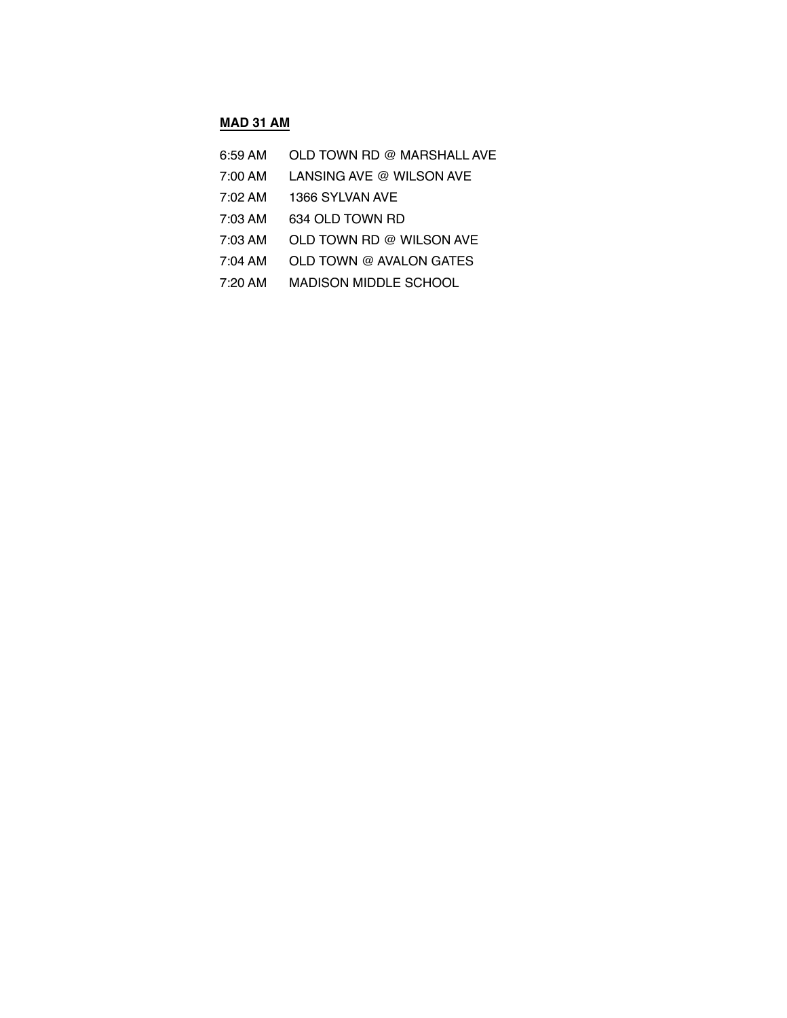#### **MAD 31 AM**

| OLD TOWN RD @ MARSHALL AVE<br>$6:59$ AM |
|-----------------------------------------|
|                                         |

- 7:00 AM LANSING AVE @ WILSON AVE
- 7:02 AM 1366 SYLVAN AVE
- 7:03 AM 634 OLD TOWN RD
- 7:03 AM OLD TOWN RD @ WILSON AVE
- 7:04 AM OLD TOWN @ AVALON GATES
- 7:20 AM MADISON MIDDLE SCHOOL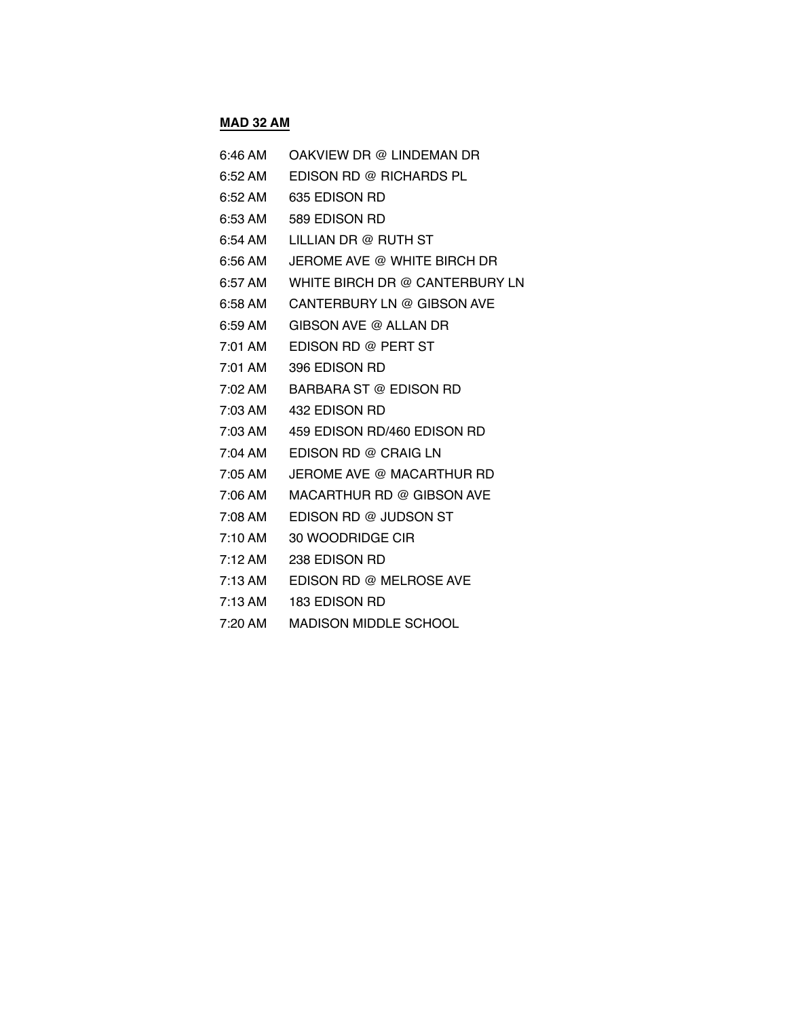## **MAD 32 AM**

| 6:46 AM | OAKVIEW DR @ LINDEMAN DR            |
|---------|-------------------------------------|
|         | 6:52 AM EDISON RD @ RICHARDS PL     |
|         | 6:52 AM   635 EDISON RD             |
|         | 6:53 AM 589 EDISON RD               |
| 6:54 AM | LILLIAN DR @ RUTH ST                |
|         | 6:56 AM JEROME AVE @ WHITE BIRCH DR |
|         |                                     |
|         | 6:58 AM CANTERBURY LN @ GIBSON AVE  |
|         | 6:59 AM GIBSON AVE @ ALLAN DR       |
|         | 7:01 AM EDISON RD @ PERT ST         |
|         | 7:01 AM 396 EDISON RD               |
|         | 7:02 AM BARBARA ST @ EDISON RD      |
|         | 7:03 AM  432 EDISON RD              |
|         | 7:03 AM 459 EDISON RD/460 EDISON RD |
|         | 7:04 AM EDISON RD @ CRAIG LN        |
|         | 7:05 AM JEROME AVE @ MACARTHUR RD   |
|         |                                     |
|         | 7:08 AM EDISON RD @ JUDSON ST       |
|         | 7:10 AM 30 WOODRIDGE CIR            |
|         | 7:12 AM 238 EDISON RD               |
|         | 7:13 AM EDISON RD @ MELROSE AVE     |

- 7:13 AM 183 EDISON RD
- 7:20 AM MADISON MIDDLE SCHOOL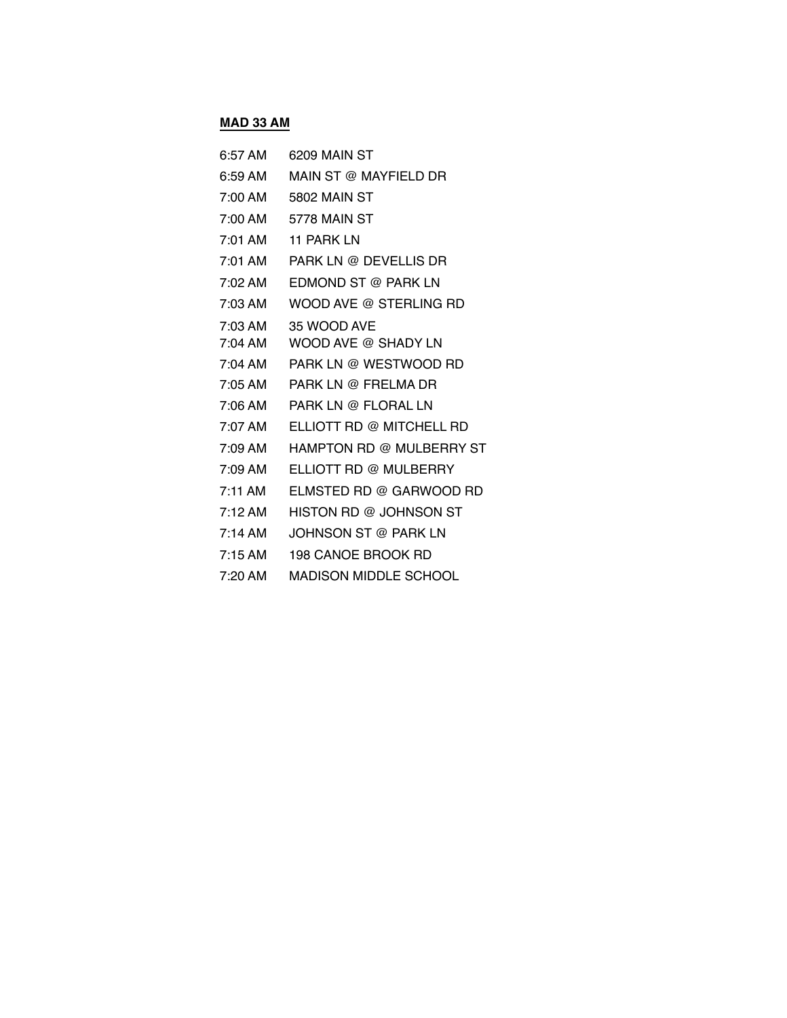## **MAD 33 AM**

| 6:57 AM           | 6209 MAIN ST                 |
|-------------------|------------------------------|
| $6:59$ AM         | MAIN ST @ MAYFIELD DR        |
| 7:00 AM           | 5802 MAIN ST                 |
| 7:00 AM           | 5778 MAIN ST                 |
| 7:01 AM           | <b>11 PARK LN</b>            |
| 7:01 AM           | PARK LN @ DEVELLIS DR        |
| 7:02 AM           | EDMOND ST @ PARK LN          |
| 7:03 AM           | WOOD AVE @ STERLING RD       |
| 7:03 AM           | 35 WOOD AVE                  |
| 7:04 AM           | WOOD AVE @ SHADY LN          |
| 7:04 AM           | PARK LN @ WESTWOOD RD        |
| 7:05 AM           | PARK LN @ FRELMA DR          |
| 7:06 AM           | PARK LN @ FLORAL LN          |
| 7:07 AM           | ELLIOTT RD @ MITCHELL RD     |
| 7:09 AM           | HAMPTON RD @ MULBERRY ST     |
| 7:09 AM           | ELLIOTT RD @ MULBERRY        |
| $7:11 \text{ AM}$ | ELMSTED RD @ GARWOOD RD      |
| $7:12 \text{ AM}$ | HISTON RD @ JOHNSON ST       |
| $7:14 \text{ AM}$ | JOHNSON ST @ PARK LN         |
| $7:15 \text{ AM}$ | 198 CANOE BROOK RD           |
| $7:20$ AM         | <b>MADISON MIDDLE SCHOOL</b> |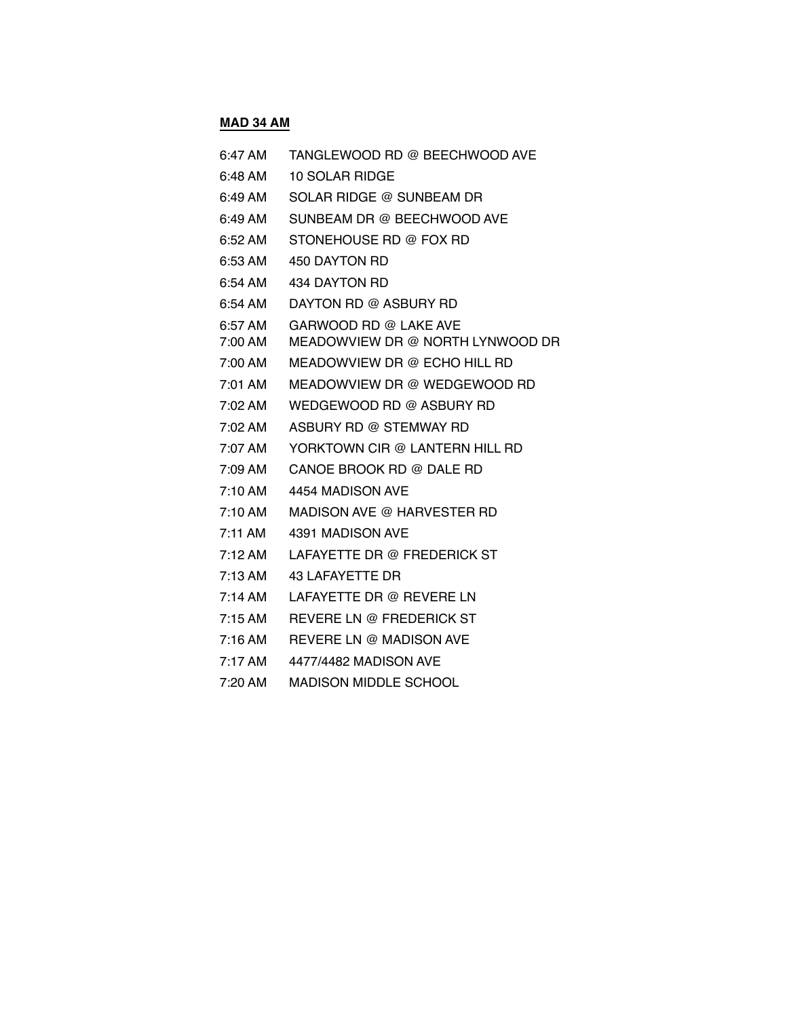# **MAD 34 AM**

| 6:47 AM            | TANGLEWOOD RD @ BEECHWOOD AVE                             |
|--------------------|-----------------------------------------------------------|
| 6:48 AM            | 10 SOLAR RIDGE                                            |
| 6:49 AM            | SOLAR RIDGE @ SUNBEAM DR                                  |
| 6:49 AM            | SUNBEAM DR @ BEECHWOOD AVE                                |
| 6:52 AM            | STONEHOUSE RD @ FOX RD                                    |
| 6:53 AM            | 450 DAYTON RD                                             |
| 6:54 AM            | 434 DAYTON RD                                             |
| 6:54 AM            | DAYTON RD @ ASBURY RD                                     |
| 6:57 AM<br>7:00 AM | GARWOOD RD @ LAKE AVE<br>MEADOWVIEW DR @ NORTH LYNWOOD DR |
| 7:00 AM            | MEADOWVIEW DR @ ECHO HILL RD                              |
| 7:01 AM            | MEADOWVIEW DR @ WEDGEWOOD RD                              |
| 7:02 AM            | WEDGEWOOD RD @ ASBURY RD                                  |
| 7:02 AM            | ASBURY RD @ STEMWAY RD                                    |
| 7:07 AM            | YORKTOWN CIR @ LANTERN HILL RD                            |
| 7:09 AM            | CANOE BROOK RD @ DALE RD                                  |
| $7:10 \text{ AM}$  | 4454 MADISON AVE                                          |
| 7:10 AM            | MADISON AVE @ HARVESTER RD                                |
| $7:11$ AM          | 4391 MADISON AVE                                          |
| $7:12 \text{ AM}$  | LAFAYETTE DR @ FREDERICK ST                               |
| $7:13 \text{ AM}$  | 43 LAFAYETTE DR                                           |
| $7:14 \text{ AM}$  | LAFAYETTE DR @ REVERE LN                                  |
| $7:15$ AM          | REVERE LN @ FREDERICK ST                                  |
| 7:16 AM            | REVERE LN @ MADISON AVE                                   |
| 7:17 AM            | 4477/4482 MADISON AVE                                     |
| $7:20$ AM          | <b>MADISON MIDDLE SCHOOL</b>                              |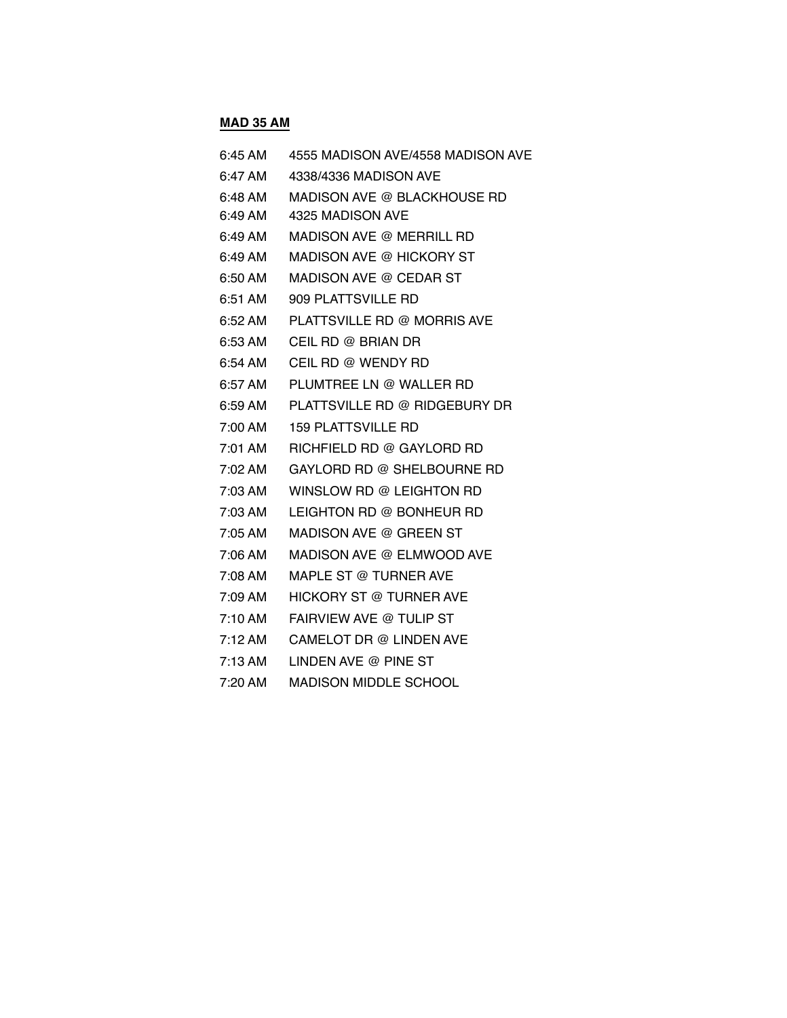## **MAD 35 AM**

| 6:45 AM           | 4555 MADISON AVE/4558 MADISON AVE |
|-------------------|-----------------------------------|
| 6:47 AM           | 4338/4336 MADISON AVE             |
| 6:48 AM           | MADISON AVE @ BLACKHOUSE RD       |
| 6:49 AM           | 4325 MADISON AVE                  |
| 6:49 AM           | MADISON AVE @ MERRILL RD          |
| 6:49 AM           | MADISON AVE @ HICKORY ST          |
| 6:50 AM           | MADISON AVE @ CEDAR ST            |
| $6:51$ AM         | 909 PLATTSVILLE RD                |
| 6:52 AM           | PLATTSVILLE RD @ MORRIS AVE       |
| 6:53 AM           | CEIL RD @ BRIAN DR                |
| 6:54 AM           | CEIL RD @ WENDY RD                |
| 6:57 AM           | PLUMTREE LN @ WALLER RD           |
| 6:59 AM           | PLATTSVILLE RD @ RIDGEBURY DR     |
| 7:00 AM           | <b>159 PLATTSVILLE RD</b>         |
| 7:01 AM           | RICHFIELD RD @ GAYLORD RD         |
| 7:02 AM           | GAYLORD RD @ SHELBOURNE RD        |
| 7:03 AM           | WINSLOW RD @ LEIGHTON RD          |
| 7:03 AM           | LEIGHTON RD @ BONHEUR RD          |
| 7:05 AM           | MADISON AVE @ GREEN ST            |
| 7:06 AM           | MADISON AVE @ ELMWOOD AVE         |
| 7:08 AM           | MAPLE ST @ TURNER AVE             |
| 7:09 AM           | HICKORY ST @ TURNER AVE           |
| 7:10 AM           | FAIRVIEW AVE @ TULIP ST           |
| $7:12 \text{ AM}$ | CAMELOT DR @ LINDEN AVE           |
| 7:13 AM           | LINDEN AVE @ PINE ST              |
| 7:20 AM           | <b>MADISON MIDDLE SCHOOL</b>      |
|                   |                                   |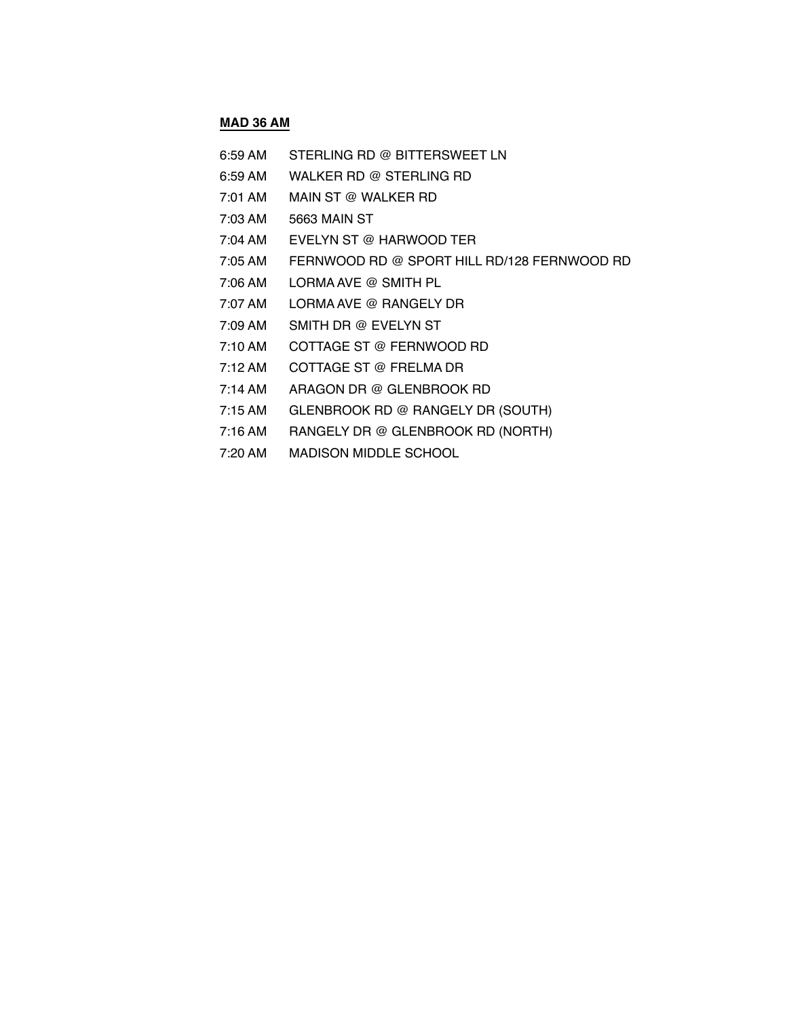#### **MAD 36 AM**

- 6:59 AM STERLING RD @ BITTERSWEET LN
- 6:59 AM WALKER RD @ STERLING RD
- 7:01 AM MAIN ST @ WALKER RD
- 7:03 AM 5663 MAIN ST
- 7:04 AM EVELYN ST @ HARWOOD TER
- 7:05 AM FERNWOOD RD @ SPORT HILL RD/128 FERNWOOD RD
- 7:06 AM LORMA AVE @ SMITH PL
- 7:07 AM LORMA AVE @ RANGELY DR
- 7:09 AM SMITH DR @ EVELYN ST
- 7:10 AM COTTAGE ST @ FERNWOOD RD
- 7:12 AM COTTAGE ST @ FRELMA DR
- 7:14 AM ARAGON DR @ GLENBROOK RD
- 7:15 AM GLENBROOK RD @ RANGELY DR (SOUTH)
- 7:16 AM RANGELY DR @ GLENBROOK RD (NORTH)
- 7:20 AM MADISON MIDDLE SCHOOL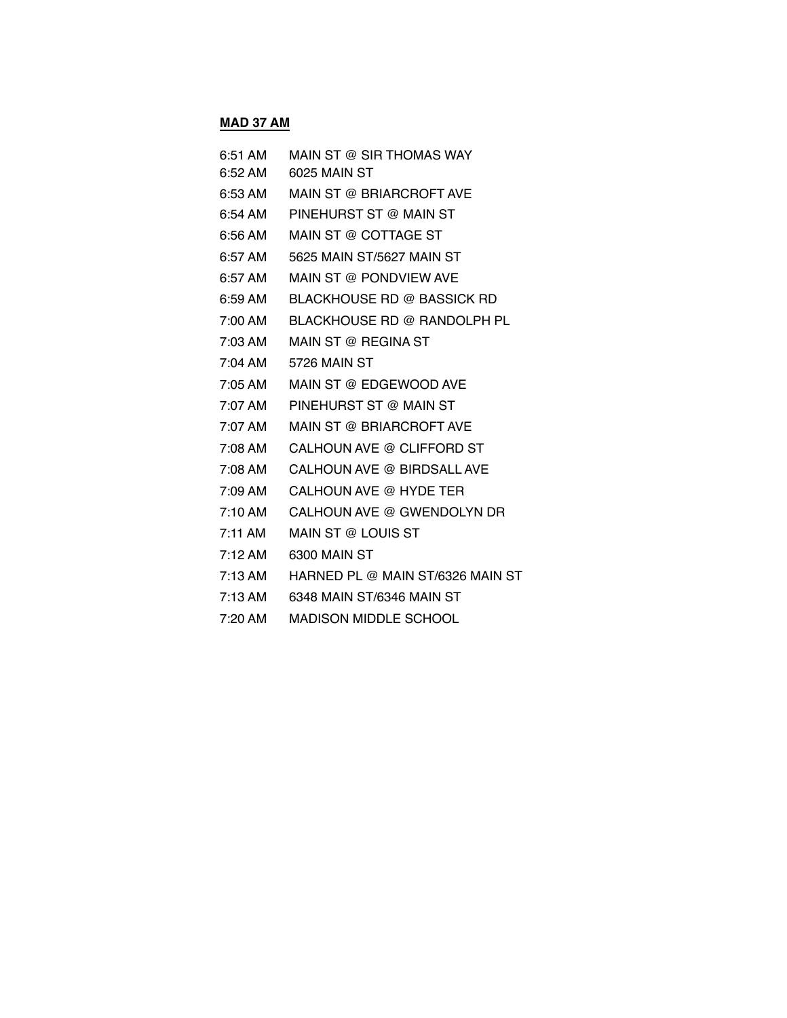## **MAD 37 AM**

| 6:51 AM           | MAIN ST @ SIR THOMAS WAY         |
|-------------------|----------------------------------|
| 6:52 AM           | 6025 MAIN ST                     |
| 6:53 AM           | MAIN ST @ BRIARCROFT AVE         |
| 6:54 AM           | PINEHURST ST @ MAIN ST           |
| 6:56 AM           | MAIN ST @ COTTAGE ST             |
| $6:57$ AM         | 5625 MAIN ST/5627 MAIN ST        |
| 6:57 AM           | MAIN ST @ PONDVIEW AVE           |
| $6:59 \text{ AM}$ | BLACKHOUSE RD @ BASSICK RD       |
| 7:00 AM           | BLACKHOUSE RD @ RANDOLPH PL      |
| 7:03 AM           | MAIN ST @ REGINA ST              |
| 7:04 AM           | 5726 MAIN ST                     |
| 7:05 AM           | MAIN ST @ EDGEWOOD AVE           |
| 7:07 AM           | PINEHURST ST @ MAIN ST           |
| 7:07 AM           | MAIN ST @ BRIARCROFT AVE         |
| 7:08 AM           | CALHOUN AVE @ CLIFFORD ST        |
| 7:08 AM           | CALHOUN AVE @ BIRDSALL AVE       |
| 7:09 AM           | CALHOUN AVE @ HYDE TER           |
| 7:10 AM           | CALHOUN AVE @ GWENDOLYN DR       |
| $7:11$ AM         | MAIN ST @ LOUIS ST               |
| $7:12 \text{ AM}$ | 6300 MAIN ST                     |
| $7:13 \text{ AM}$ | HARNED PL @ MAIN ST/6326 MAIN ST |
| $7:13 \text{ AM}$ | 6348 MAIN ST/6346 MAIN ST        |
| 7:20 AM           | <b>MADISON MIDDLE SCHOOL</b>     |
|                   |                                  |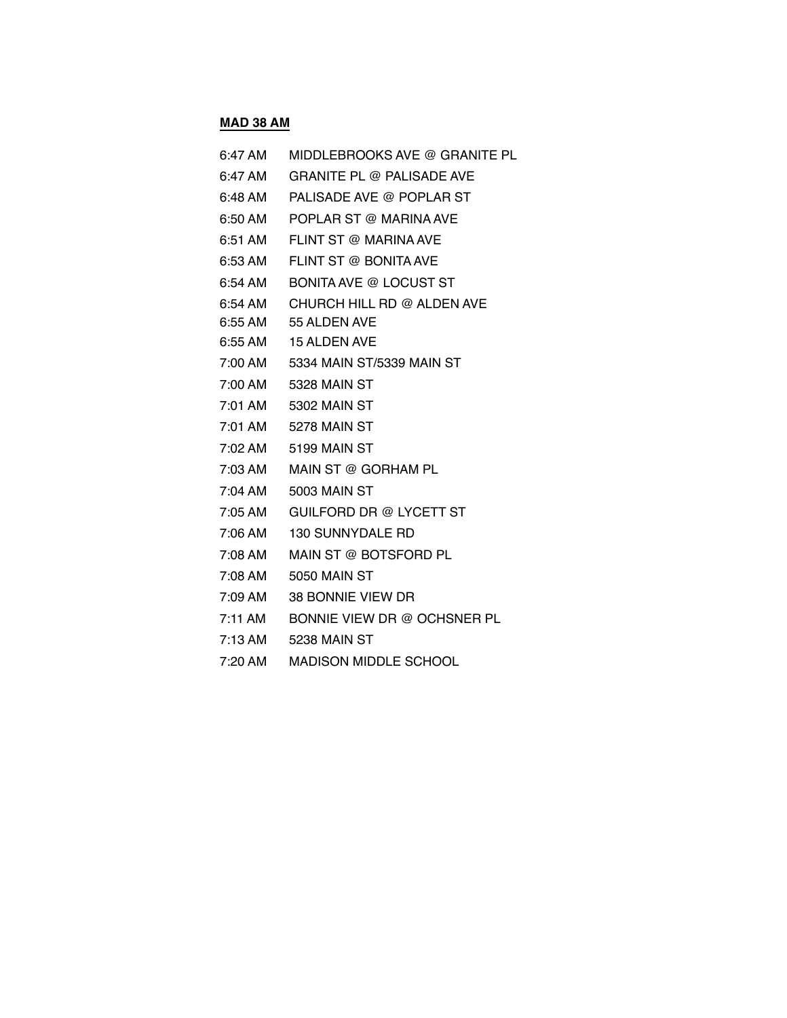## **MAD 38 AM**

| 6:47 AM           | MIDDLEBROOKS AVE @ GRANITE PL    |
|-------------------|----------------------------------|
| $6:47$ AM         | <b>GRANITE PL @ PALISADE AVE</b> |
| 6:48 AM           | PALISADE AVE @ POPLAR ST         |
| 6:50 AM           | POPLAR ST @ MARINA AVE           |
| 6:51 AM           | FLINT ST @ MARINA AVE            |
| 6:53 AM           | FLINT ST @ BONITA AVE            |
| 6:54 AM           | <b>BONITA AVE @ LOCUST ST</b>    |
| 6:54 AM           | CHURCH HILL RD @ ALDEN AVE       |
| 6:55 AM           | 55 ALDEN AVE                     |
| 6:55 AM           | <b>15 ALDEN AVE</b>              |
| 7:00 AM           | 5334 MAIN ST/5339 MAIN ST        |
| 7:00 AM           | 5328 MAIN ST                     |
| 7:01 AM           | 5302 MAIN ST                     |
| 7:01 AM           | 5278 MAIN ST                     |
| 7:02 AM           | 5199 MAIN ST                     |
| 7:03 AM           | MAIN ST @ GORHAM PL              |
| 7:04 AM           | 5003 MAIN ST                     |
| 7:05 AM           | GUILFORD DR @ LYCETT ST          |
| 7:06 AM           | <b>130 SUNNYDALE RD</b>          |
| 7:08 AM           | MAIN ST @ BOTSFORD PL            |
| 7:08 AM           | <b>5050 MAIN ST</b>              |
| 7:09 AM           | 38 BONNIE VIEW DR                |
| 7:11 AM           | BONNIE VIEW DR @ OCHSNER PL      |
| $7:13 \text{ AM}$ | 5238 MAIN ST                     |
| 7:20 AM           | <b>MADISON MIDDLE SCHOOL</b>     |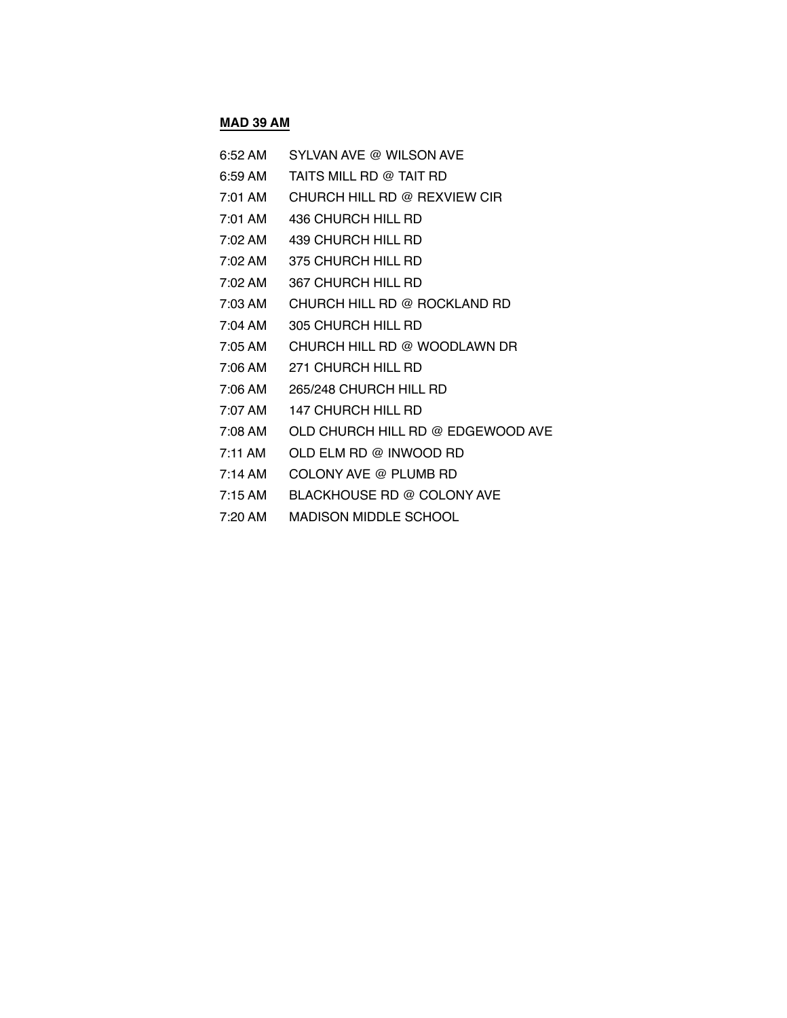# **MAD 39 AM**

| 6:52 AM             | SYLVAN AVE @ WILSON AVE           |
|---------------------|-----------------------------------|
| 6:59 AM             | TAITS MILL RD @ TAIT RD           |
| $7:01$ AM           | CHURCH HILL RD @ REXVIEW CIR      |
| 7:01 AM             | 436 CHURCH HILL RD                |
| 7:02 AM             | 439 CHURCH HILL RD                |
| 7:02 AM             | 375 CHURCH HILL RD                |
| $7:02 \, \text{AM}$ | 367 CHURCH HILL RD                |
| 7:03 AM             | CHURCH HILL RD @ ROCKLAND RD      |
| 7:04 AM             | 305 CHURCH HILL RD                |
| $7:05 \text{ AM}$   | CHURCH HILL RD @ WOODLAWN DR      |
| 7:06 AM             | 271 CHURCH HILL RD                |
| 7:06 AM             | 265/248 CHURCH HILL RD            |
| 7:07 AM             | <b>147 CHURCH HILL RD</b>         |
| 7:08 AM             | OLD CHURCH HILL RD @ EDGEWOOD AVE |
| $7:11$ AM           | OLD ELM RD @ INWOOD RD            |
| 7:14 AM             | COLONY AVE @ PLUMB RD             |
| $7:15$ AM           | BLACKHOUSE RD @ COLONY AVE        |
|                     |                                   |

7:20 AM MADISON MIDDLE SCHOOL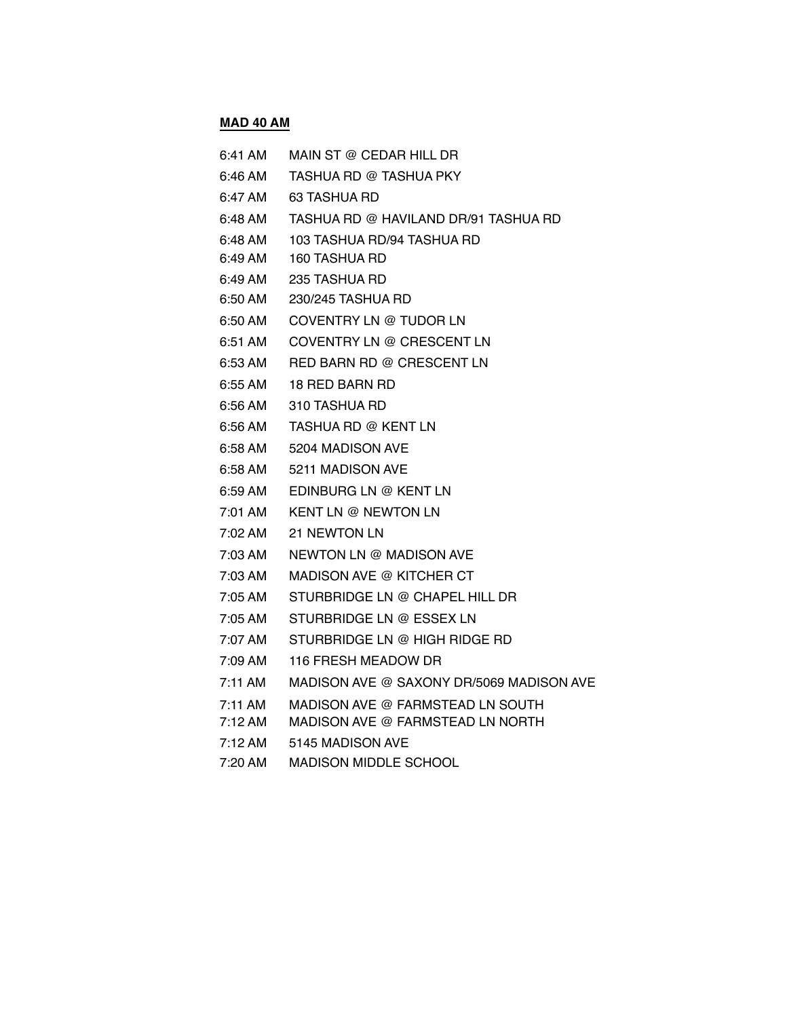# **MAD 40 AM**

| 6:41 AM   | MAIN ST @ CEDAR HILL DR                  |
|-----------|------------------------------------------|
| 6:46 AM   | TASHUA RD @ TASHUA PKY                   |
| 6:47 AM   | 63 TASHUA RD                             |
| 6:48 AM   | TASHUA RD @ HAVILAND DR/91 TASHUA RD     |
| 6:48 AM   | 103 TASHUA RD/94 TASHUA RD               |
| 6:49 AM   | 160 TASHUA RD                            |
| 6:49 AM   | 235 TASHUA RD                            |
| 6:50 AM   | 230/245 TASHUA RD                        |
| $6:50$ AM | COVENTRY LN @ TUDOR LN                   |
| 6:51 AM   | COVENTRY LN @ CRESCENT LN                |
| 6:53 AM   | RED BARN RD @ CRESCENT LN                |
| 6:55 AM   | 18 RED BARN RD                           |
| 6:56 AM   | 310 TASHUA RD                            |
| 6:56 AM   | TASHUA RD @ KENT LN                      |
| 6:58 AM   | 5204 MADISON AVE                         |
| 6:58 AM   | 5211 MADISON AVE                         |
| 6:59 AM   | EDINBURG LN @ KENT LN                    |
| 7:01 AM   | <b>KENT LN @ NEWTON LN</b>               |
| 7:02 AM   | <b>21 NEWTON LN</b>                      |
| 7:03 AM   | NEWTON LN @ MADISON AVE                  |
| 7:03 AM   | MADISON AVE @ KITCHER CT                 |
| 7:05 AM   | STURBRIDGE LN @ CHAPEL HILL DR           |
| 7:05 AM   | STURBRIDGE LN @ ESSEX LN                 |
| 7:07 AM   | STURBRIDGE LN @ HIGH RIDGE RD            |
| 7:09 AM   | 116 FRESH MEADOW DR                      |
| $7:11$ AM | MADISON AVE @ SAXONY DR/5069 MADISON AVE |
| 7:11 AM   | MADISON AVE @ FARMSTEAD LN SOUTH         |
| 7:12 AM   | MADISON AVE @ FARMSTEAD LN NORTH         |
| 7:12 AM   | 5145 MADISON AVE                         |
| 7:20 AM   | <b>MADISON MIDDLE SCHOOL</b>             |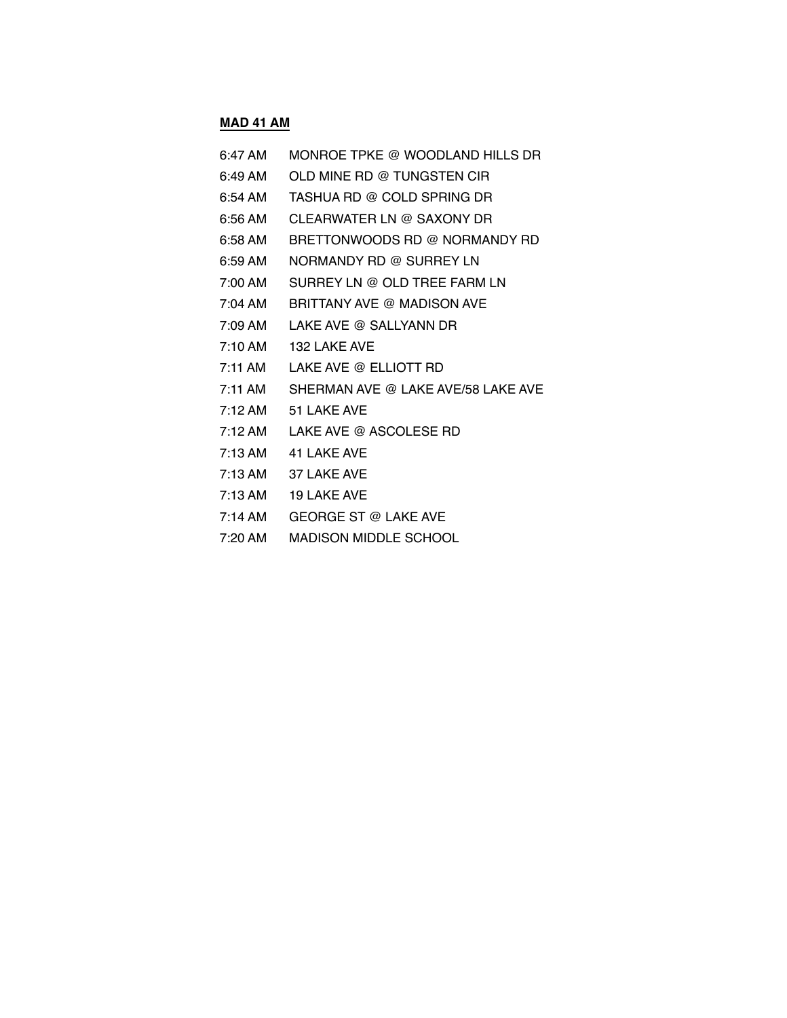## **MAD 41 AM**

| 6:47 AM           | MONROE TPKE @ WOODLAND HILLS DR    |
|-------------------|------------------------------------|
| 6:49 AM           | OLD MINE RD @ TUNGSTEN CIR         |
| 6:54 AM           | TASHUA RD @ COLD SPRING DR         |
| $6:56$ AM         | CLEARWATER LN @ SAXONY DR          |
| 6:58 AM           | BRETTONWOODS RD @ NORMANDY RD      |
| $6:59$ AM         | NORMANDY RD @ SURREY LN            |
| 7:00 AM           | SURREY LN @ OLD TREE FARM LN       |
| 7:04 AM           | BRITTANY AVE @ MADISON AVE         |
| 7:09 AM           | LAKE AVE @ SALLYANN DR             |
| 7:10 AM           | 132 LAKE AVE                       |
| 7:11 AM           | LAKE AVE @ ELLIOTT RD              |
| 7:11 AM           | SHERMAN AVE @ LAKE AVE/58 LAKE AVE |
| $7:12 \text{ AM}$ | 51 LAKE AVE                        |
| $7:12 \text{ AM}$ | LAKE AVE @ ASCOLESE RD             |
| $7:13$ AM         | 41 LAKE AVE                        |
| $7:13$ AM         | 37 LAKE AVE                        |
| $7:13 \text{ AM}$ | 19 LAKE AVE                        |
| 7:14 AM           | <b>GEORGE ST @ LAKE AVE</b>        |

7:20 AM MADISON MIDDLE SCHOOL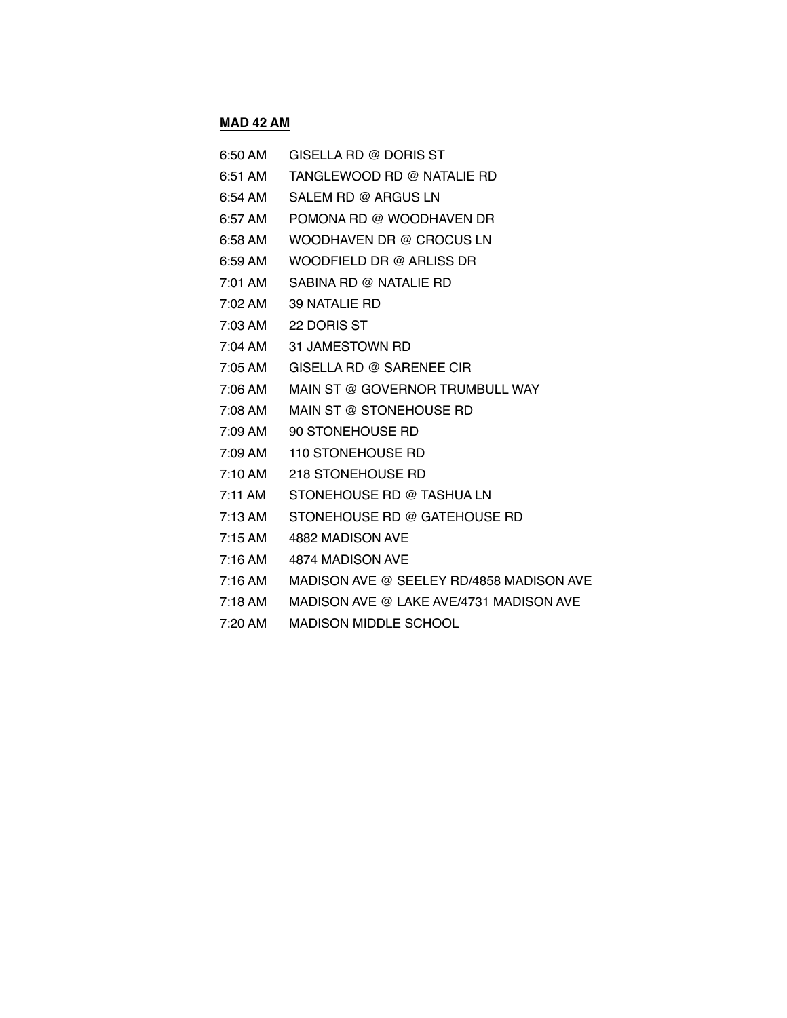#### **MAD 42 AM**

| 6:50 AM | GISELLA RD @ DORIS ST                   |
|---------|-----------------------------------------|
| 6:51 AM | TANGLEWOOD RD @ NATALIE RD              |
|         | 6:54 AM SALEM RD @ ARGUS LN             |
|         | 6:57 AM POMONA RD @ WOODHAVEN DR        |
| 6:58 AM | WOODHAVEN DR @ CROCUS LN                |
| 6:59 AM | WOODFIELD DR @ ARLISS DR                |
| 7:01 AM | SABINA RD @ NATALIE RD                  |
| 7:02 AM | 39 NATALIE RD                           |
|         | 7:03 AM 22 DORIS ST                     |
| 7:04 AM | 31 JAMESTOWN RD                         |
| 7:05 AM | GISELLA RD @ SARENEE CIR                |
|         | 7:06 AM MAIN ST @ GOVERNOR TRUMBULL WAY |
| 7:08 AM | MAIN ST @ STONEHOUSE RD                 |
| 7:09 AM | 90 STONEHOUSE RD                        |
| 7:09 AM | 110 STONEHOUSE RD                       |
| 7:10 AM | 218 STONEHOUSE RD                       |
| 7:11 AM | STONEHOUSE RD @ TASHUA LN               |
| 7:13 AM | STONEHOUSE RD @ GATEHOUSE RD            |
| 7:15 AM | 4882 MADISON AVE                        |
|         | 7:16 AM 4874 MADISON AVE                |

- 7:16 AM MADISON AVE @ SEELEY RD/4858 MADISON AVE
- 7:18 AM MADISON AVE @ LAKE AVE/4731 MADISON AVE
- 7:20 AM MADISON MIDDLE SCHOOL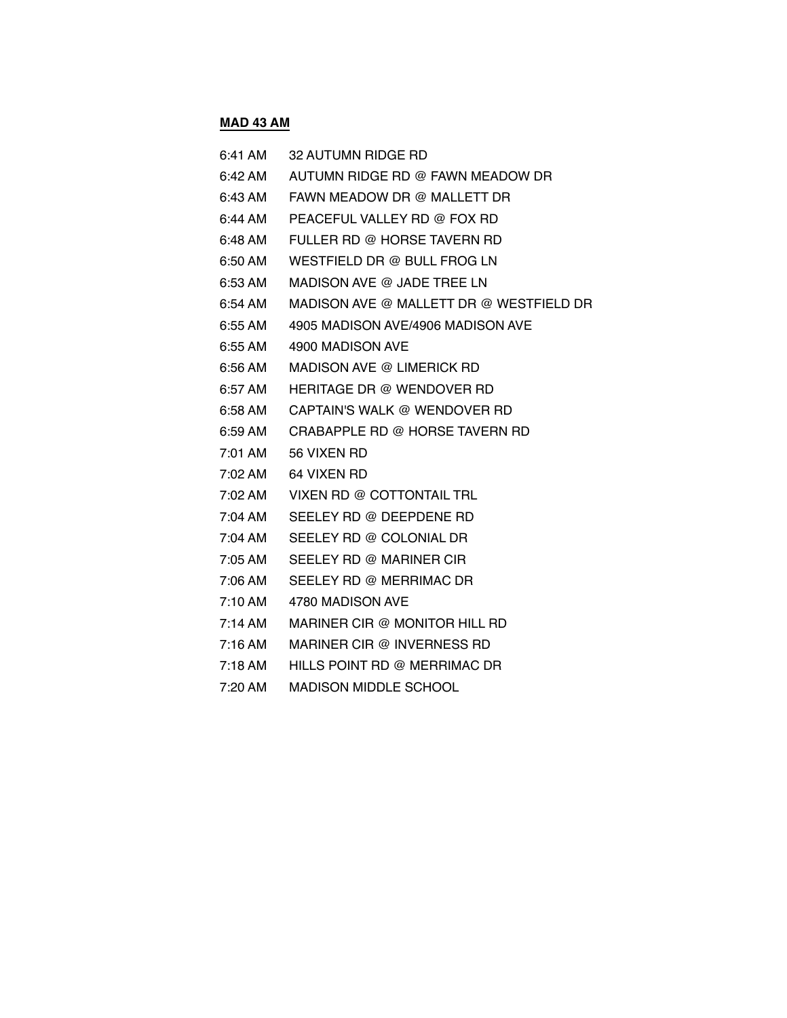## **MAD 43 AM**

| 6:41 AM             | <b>32 AUTUMN RIDGE RD</b>               |
|---------------------|-----------------------------------------|
| 6:42 AM             | AUTUMN RIDGE RD @ FAWN MEADOW DR        |
| 6:43 AM             | FAWN MEADOW DR @ MALLETT DR             |
| 6:44 AM             | PEACEFUL VALLEY RD @ FOX RD             |
| 6:48 AM             | FULLER RD @ HORSE TAVERN RD             |
| 6:50 AM             | WESTFIELD DR @ BULL FROG LN             |
| 6:53 AM             | MADISON AVE @ JADE TREE LN              |
| 6:54 AM             | MADISON AVE @ MALLETT DR @ WESTFIELD DR |
| 6:55 AM             | 4905 MADISON AVE/4906 MADISON AVE       |
| 6:55 AM             | 4900 MADISON AVE                        |
| 6:56 AM             | MADISON AVE @ LIMERICK RD               |
| 6:57 AM             | HERITAGE DR @ WENDOVER RD               |
| 6:58 AM             | CAPTAIN'S WALK @ WENDOVER RD            |
| 6:59 AM             | CRABAPPLE RD @ HORSE TAVERN RD          |
| 7:01 AM             | 56 VIXEN RD                             |
| $7:02 \, \text{AM}$ | 64 VIXEN RD                             |
| 7:02 AM             | VIXEN RD @ COTTONTAIL TRL               |
| 7:04 AM             | SEELEY RD @ DEEPDENE RD                 |
| 7:04 AM             | SEELEY RD @ COLONIAL DR                 |
| $7:05 \text{ AM}$   | SEELEY RD @ MARINER CIR                 |
| 7:06 AM             | SEELEY RD @ MERRIMAC DR                 |
| 7:10 AM             | 4780 MADISON AVE                        |
| 7:14 AM             | MARINER CIR @ MONITOR HILL RD           |
| $7:16 \text{ AM}$   | MARINER CIR @ INVERNESS RD              |
| $7:18 \text{ AM}$   | HILLS POINT RD @ MERRIMAC DR            |
| $7:20$ AM           | <b>MADISON MIDDLE SCHOOL</b>            |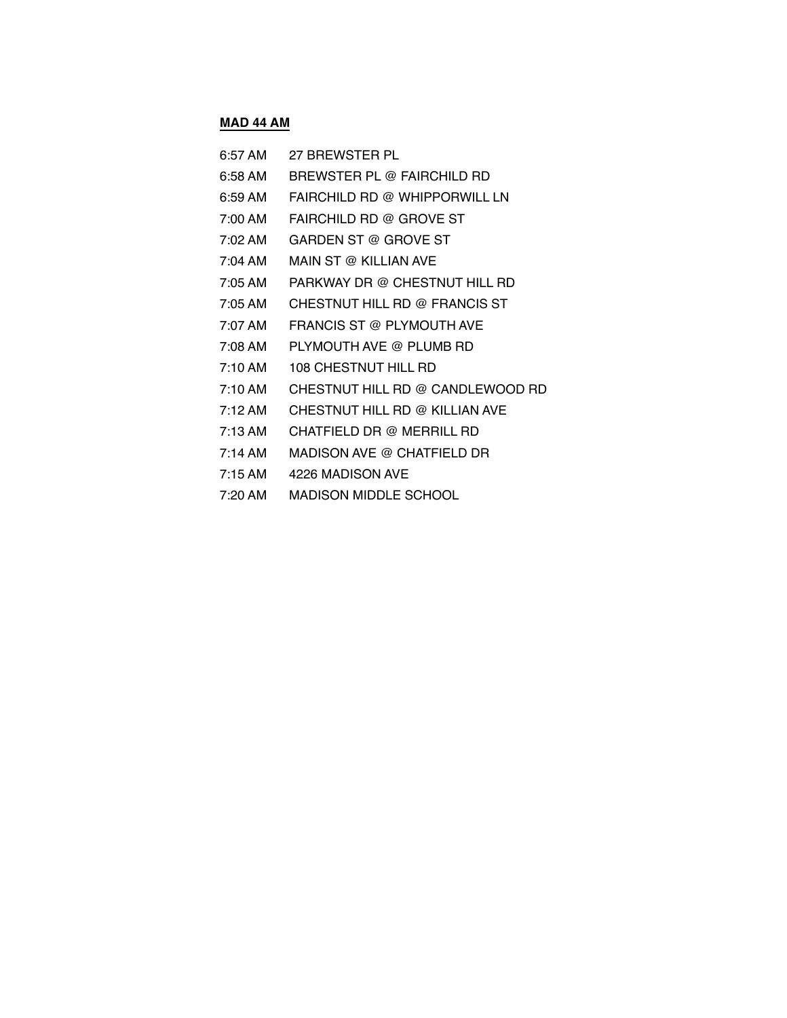## **MAD 44 AM**

| 6:57 AM           | 27 BREWSTER PL                   |
|-------------------|----------------------------------|
| 6:58 AM           | BREWSTER PL @ FAIRCHILD RD       |
| 6:59 AM           | FAIRCHILD RD @ WHIPPORWILL LN    |
| 7:00 AM           | FAIRCHILD RD @ GROVE ST          |
| 7:02 AM           | GARDEN ST @ GROVE ST             |
| $7:04$ AM         | MAIN ST @ KILLIAN AVE            |
| 7:05 AM           | PARKWAY DR @ CHESTNUT HILL RD    |
| 7:05 AM           | CHESTNUT HILL RD @ FRANCIS ST    |
| 7:07 AM           | FRANCIS ST @ PLYMOUTH AVE        |
| 7:08 AM           | PLYMOUTH AVE @ PLUMB RD          |
| $7:10$ AM         | <b>108 CHESTNUT HILL RD</b>      |
| $7:10 \text{ AM}$ | CHESTNUT HILL RD @ CANDLEWOOD RD |
| 7:12 AM           | CHESTNUT HILL RD @ KILLIAN AVE   |
| $7:13 \text{ AM}$ | CHATFIELD DR @ MERRILL RD        |
| $7:14$ AM         | MADISON AVE @ CHATFIELD DR       |
| $7:15 \text{ AM}$ | 4226 MADISON AVE                 |
| $7:20$ AM         | MADISON MIDDLE SCHOOL            |